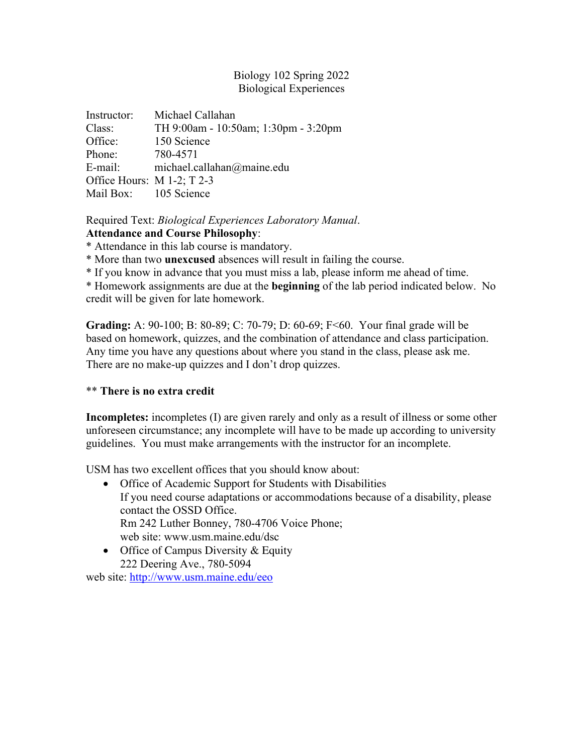## Biology 102 Spring 2022 Biological Experiences

| Instructor:                  | Michael Callahan                     |
|------------------------------|--------------------------------------|
| Class:                       | TH 9:00am - 10:50am; 1:30pm - 3:20pm |
| Office:                      | 150 Science                          |
| Phone:                       | 780-4571                             |
| E-mail:                      | michael.callahan@maine.edu           |
| Office Hours: $M$ 1-2; T 2-3 |                                      |
| Mail Box: 105 Science        |                                      |

Required Text: *Biological Experiences Laboratory Manual*.

## **Attendance and Course Philosophy:**

\* Attendance in this lab course is mandatory.

\* More than two **unexcused** absences will result in failing the course.

\* If you know in advance that you must miss a lab, please inform me ahead of time.

\* Homework assignments are due at the **beginning** of the lab period indicated below. No credit will be given for late homework.

**Grading:** A: 90-100; B: 80-89; C: 70-79; D: 60-69; F<60. Your final grade will be based on homework, quizzes, and the combination of attendance and class participation. Any time you have any questions about where you stand in the class, please ask me. There are no make-up quizzes and I don't drop quizzes.

### \*\* **There is no extra credit**

**Incompletes:** incompletes (I) are given rarely and only as a result of illness or some other unforeseen circumstance; any incomplete will have to be made up according to university guidelines. You must make arrangements with the instructor for an incomplete.

USM has two excellent offices that you should know about:

- Office of Academic Support for Students with Disabilities If you need course adaptations or accommodations because of a disability, please contact the OSSD Office. Rm 242 Luther Bonney, 780-4706 Voice Phone; web site:<www.usm.maine.edu/dsc>
- Office of Campus Diversity & Equity 222 Deering Ave., 780-5094

web site:<http://www.usm.maine.edu/eeo>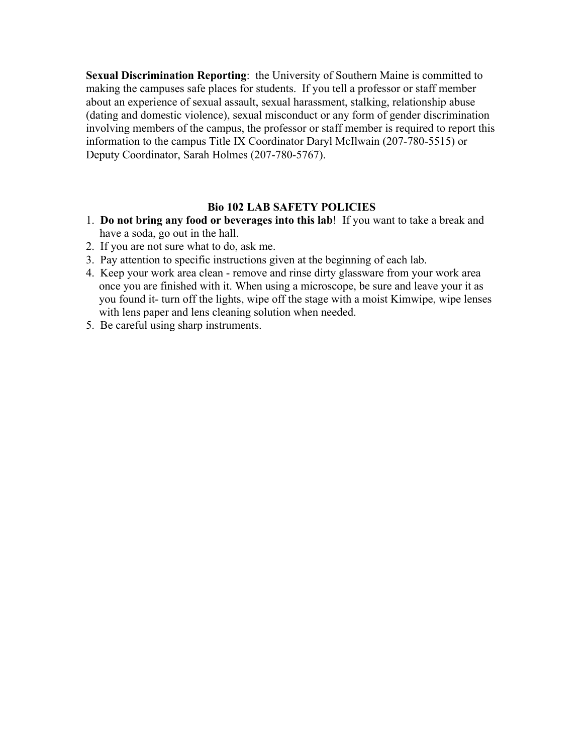**Sexual Discrimination Reporting**: the University of Southern Maine is committed to making the campuses safe places for students. If you tell a professor or staff member about an experience of sexual assault, sexual harassment, stalking, relationship abuse (dating and domestic violence), sexual misconduct or any form of gender discrimination involving members of the campus, the professor or staff member is required to report this information to the campus Title IX Coordinator Daryl McIlwain (207-780-5515) or Deputy Coordinator, Sarah Holmes (207-780-5767).

#### **Bio 102 LAB SAFETY POLICIES**

- 1. **Do not bring any food or beverages into this lab**! If you want to take a break and have a soda, go out in the hall.
- 2. If you are not sure what to do, ask me.
- 3. Pay attention to specific instructions given at the beginning of each lab.
- 4. Keep your work area clean remove and rinse dirty glassware from your work area once you are finished with it. When using a microscope, be sure and leave your it as you found it- turn off the lights, wipe off the stage with a moist Kimwipe, wipe lenses with lens paper and lens cleaning solution when needed.
- 5. Be careful using sharp instruments.